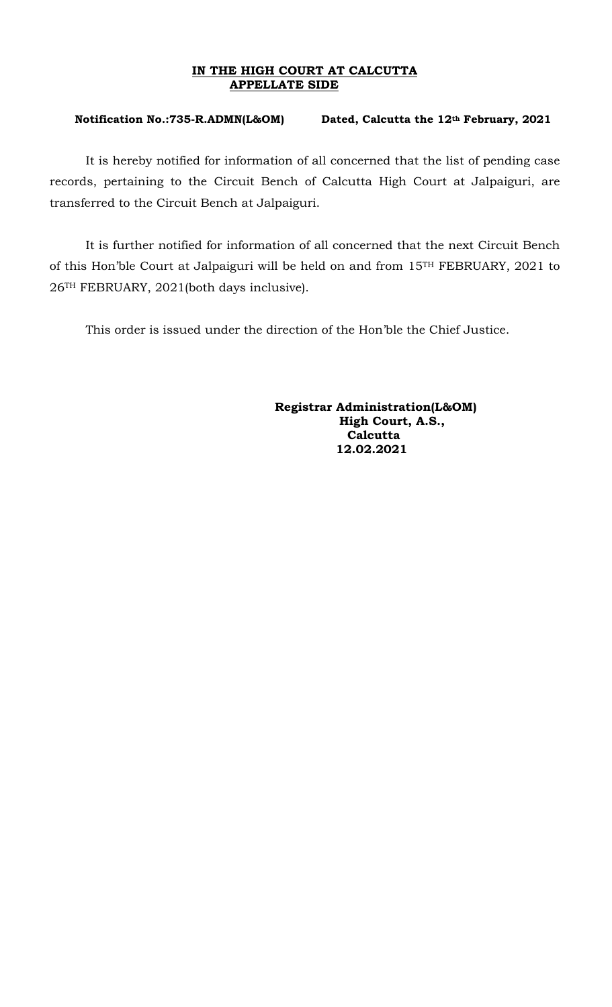## **IN THE HIGH COURT AT CALCUTTA APPELLATE SIDE**

## **Notification No.:735-R.ADMN(L&OM) Dated, Calcutta the 12th February, 2021**

It is hereby notified for information of all concerned that the list of pending case records, pertaining to the Circuit Bench of Calcutta High Court at Jalpaiguri, are transferred to the Circuit Bench at Jalpaiguri.

It is further notified for information of all concerned that the next Circuit Bench of this Hon'ble Court at Jalpaiguri will be held on and from 15TH FEBRUARY, 2021 to 26TH FEBRUARY, 2021(both days inclusive).

This order is issued under the direction of the Hon'ble the Chief Justice.

 **Registrar Administration(L&OM) High Court, A.S., Calcutta 12.02.2021**